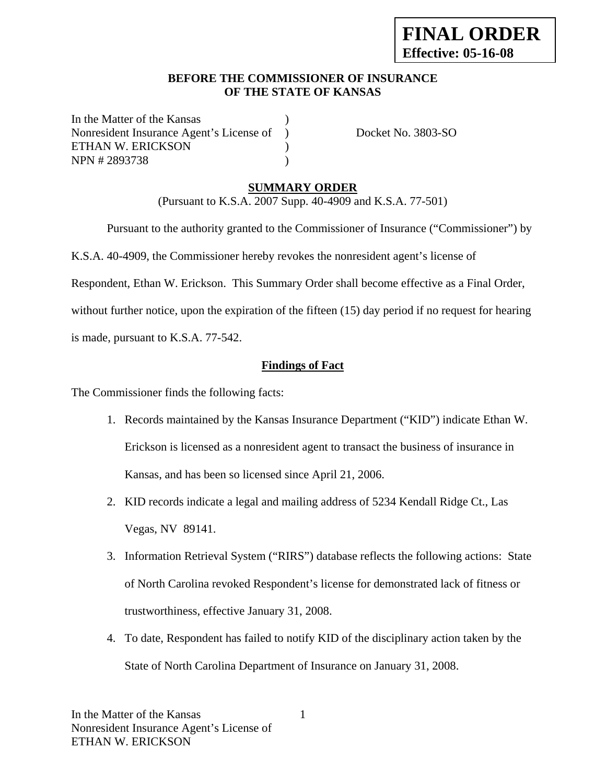#### **BEFORE THE COMMISSIONER OF INSURANCE OF THE STATE OF KANSAS**

In the Matter of the Kansas Nonresident Insurance Agent's License of ) Docket No. 3803-SO ETHAN W. ERICKSON (1) NPN # 2893738 )

# **SUMMARY ORDER**

(Pursuant to K.S.A. 2007 Supp. 40-4909 and K.S.A. 77-501)

Pursuant to the authority granted to the Commissioner of Insurance ("Commissioner") by

K.S.A. 40-4909, the Commissioner hereby revokes the nonresident agent's license of

Respondent, Ethan W. Erickson. This Summary Order shall become effective as a Final Order,

without further notice, upon the expiration of the fifteen (15) day period if no request for hearing is made, pursuant to K.S.A. 77-542.

#### **Findings of Fact**

The Commissioner finds the following facts:

- 1. Records maintained by the Kansas Insurance Department ("KID") indicate Ethan W. Erickson is licensed as a nonresident agent to transact the business of insurance in Kansas, and has been so licensed since April 21, 2006.
- 2. KID records indicate a legal and mailing address of 5234 Kendall Ridge Ct., Las Vegas, NV 89141.
- 3. Information Retrieval System ("RIRS") database reflects the following actions: State of North Carolina revoked Respondent's license for demonstrated lack of fitness or trustworthiness, effective January 31, 2008.
- 4. To date, Respondent has failed to notify KID of the disciplinary action taken by the State of North Carolina Department of Insurance on January 31, 2008.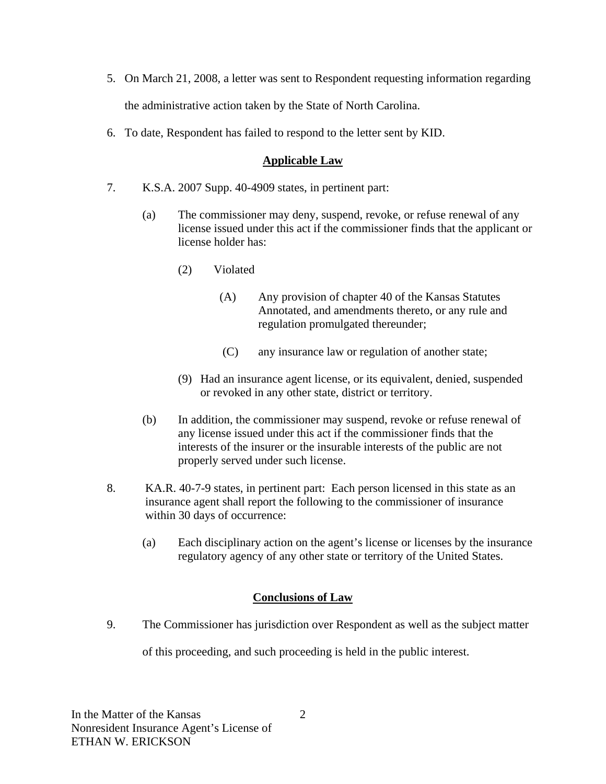- 5. On March 21, 2008, a letter was sent to Respondent requesting information regarding the administrative action taken by the State of North Carolina.
- 6. To date, Respondent has failed to respond to the letter sent by KID.

### **Applicable Law**

- 7. K.S.A. 2007 Supp. 40-4909 states, in pertinent part:
	- (a) The commissioner may deny, suspend, revoke, or refuse renewal of any license issued under this act if the commissioner finds that the applicant or license holder has:
		- (2) Violated
			- (A) Any provision of chapter 40 of the Kansas Statutes Annotated, and amendments thereto, or any rule and regulation promulgated thereunder;
			- (C) any insurance law or regulation of another state;
		- (9) Had an insurance agent license, or its equivalent, denied, suspended or revoked in any other state, district or territory.
	- (b) In addition, the commissioner may suspend, revoke or refuse renewal of any license issued under this act if the commissioner finds that the interests of the insurer or the insurable interests of the public are not properly served under such license.
- 8. KA.R. 40-7-9 states, in pertinent part: Each person licensed in this state as an insurance agent shall report the following to the commissioner of insurance within 30 days of occurrence:
	- (a) Each disciplinary action on the agent's license or licenses by the insurance regulatory agency of any other state or territory of the United States.

# **Conclusions of Law**

9. The Commissioner has jurisdiction over Respondent as well as the subject matter of this proceeding, and such proceeding is held in the public interest.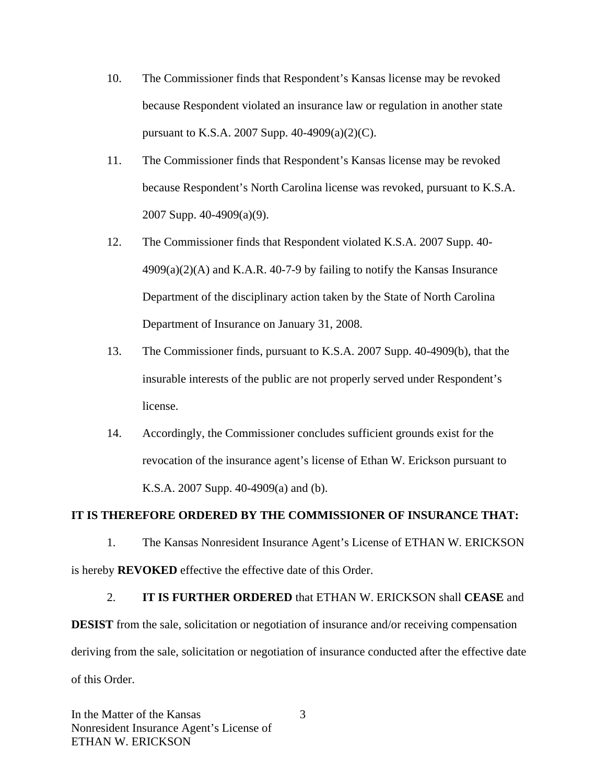- 10. The Commissioner finds that Respondent's Kansas license may be revoked because Respondent violated an insurance law or regulation in another state pursuant to K.S.A. 2007 Supp. 40-4909(a)(2)(C).
- 11. The Commissioner finds that Respondent's Kansas license may be revoked because Respondent's North Carolina license was revoked, pursuant to K.S.A. 2007 Supp. 40-4909(a)(9).
- 12. The Commissioner finds that Respondent violated K.S.A. 2007 Supp. 40-  $4909(a)(2)(A)$  and K.A.R. 40-7-9 by failing to notify the Kansas Insurance Department of the disciplinary action taken by the State of North Carolina Department of Insurance on January 31, 2008.
- 13. The Commissioner finds, pursuant to K.S.A. 2007 Supp. 40-4909(b), that the insurable interests of the public are not properly served under Respondent's license.
- 14. Accordingly, the Commissioner concludes sufficient grounds exist for the revocation of the insurance agent's license of Ethan W. Erickson pursuant to K.S.A. 2007 Supp. 40-4909(a) and (b).

#### **IT IS THEREFORE ORDERED BY THE COMMISSIONER OF INSURANCE THAT:**

1. The Kansas Nonresident Insurance Agent's License of ETHAN W. ERICKSON is hereby **REVOKED** effective the effective date of this Order.

#### 2. **IT IS FURTHER ORDERED** that ETHAN W. ERICKSON shall **CEASE** and

**DESIST** from the sale, solicitation or negotiation of insurance and/or receiving compensation deriving from the sale, solicitation or negotiation of insurance conducted after the effective date of this Order.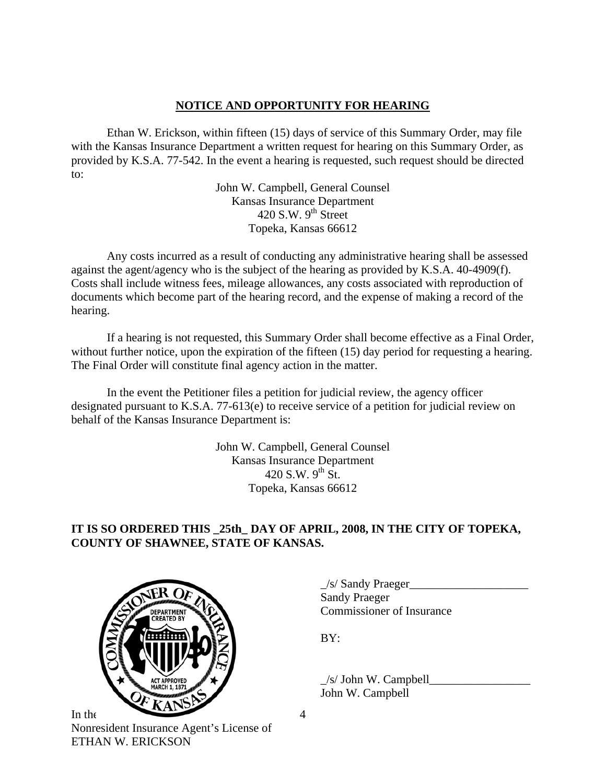### **NOTICE AND OPPORTUNITY FOR HEARING**

Ethan W. Erickson, within fifteen (15) days of service of this Summary Order, may file with the Kansas Insurance Department a written request for hearing on this Summary Order, as provided by K.S.A. 77-542. In the event a hearing is requested, such request should be directed to:

> John W. Campbell, General Counsel Kansas Insurance Department 420 S.W.  $9<sup>th</sup>$  Street Topeka, Kansas 66612

Any costs incurred as a result of conducting any administrative hearing shall be assessed against the agent/agency who is the subject of the hearing as provided by K.S.A. 40-4909(f). Costs shall include witness fees, mileage allowances, any costs associated with reproduction of documents which become part of the hearing record, and the expense of making a record of the hearing.

If a hearing is not requested, this Summary Order shall become effective as a Final Order, without further notice, upon the expiration of the fifteen (15) day period for requesting a hearing. The Final Order will constitute final agency action in the matter.

In the event the Petitioner files a petition for judicial review, the agency officer designated pursuant to K.S.A. 77-613(e) to receive service of a petition for judicial review on behalf of the Kansas Insurance Department is:

> John W. Campbell, General Counsel Kansas Insurance Department 420 S.W.  $9^{th}$  St. Topeka, Kansas 66612

# **IT IS SO ORDERED THIS \_25th\_ DAY OF APRIL, 2008, IN THE CITY OF TOPEKA, COUNTY OF SHAWNEE, STATE OF KANSAS.**



In the Nonresident Insurance Agent's License of ETHAN W. ERICKSON

 \_/s/ Sandy Praeger\_\_\_\_\_\_\_\_\_\_\_\_\_\_\_\_\_\_\_\_ Sandy Praeger EPARTMENT VOLTER COMMISSIONER OF Insurance

 $\angle$ s/ John W. Campbell $\Box$ John W. Campbell

4